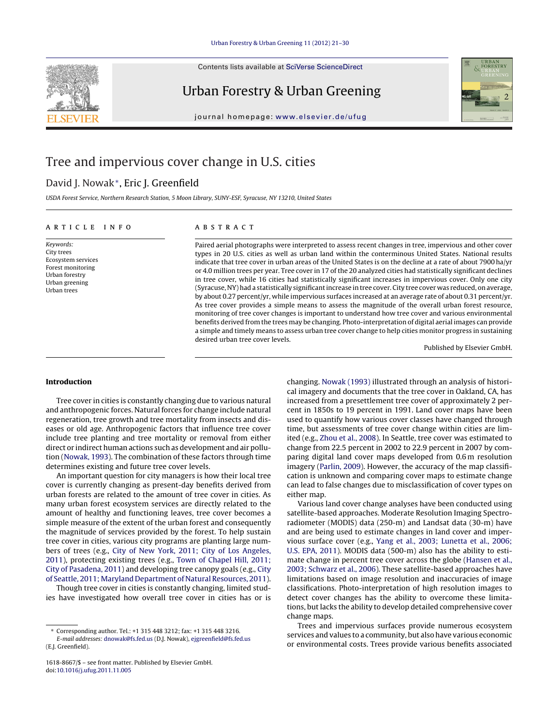Contents lists available at SciVerse [ScienceDirect](http://www.sciencedirect.com/science/journal/16188667)

Urban Forestry & Urban Greening



jour nal homepage: [www.elsevier.de/ufug](http://www.elsevier.de/ufug)

# Tree and impervious cover change in U.S. cities

# David J. Nowak∗, Eric J. Greenfield

USDA Forest Service, Northern Research Station, 5 Moon Library, SUNY-ESF, Syracuse, NY 13210, United States

### a r t i c l e i n f o

Keywords: City trees Ecosystem services Forest monitoring Urban forestry Urban greening Urban trees

# A B S T R A C T

Paired aerial photographs were interpreted to assess recent changes in tree, impervious and other cover types in 20 U.S. cities as well as urban land within the conterminous United States. National results indicate that tree cover in urban areas of the United States is on the decline at a rate of about 7900 ha/yr or 4.0 million trees per year. Tree cover in 17 of the 20 analyzed cities had statistically significant declines in tree cover, while 16 cities had statistically significant increases in impervious cover. Only one city (Syracuse, NY) had a statistically significantincrease in tree cover. City tree cover was reduced, on average, by about 0.27 percent/yr, while impervious surfaces increased at an average rate of about 0.31 percent/yr. As tree cover provides a simple means to assess the magnitude of the overall urban forest resource, monitoring of tree cover changes is important to understand how tree cover and various environmental benefits derived from the trees may be changing. Photo-interpretation of digital aerial images can provide a simple and timely means to assess urban tree cover change to help cities monitor progress in sustaining desired urban tree cover levels.

Published by Elsevier GmbH.

### **Introduction**

Tree cover in cities is constantly changing due to various natural and anthropogenic forces. Natural forces for change include natural regeneration, tree growth and tree mortality from insects and diseases or old age. Anthropogenic factors that influence tree cover include tree planting and tree mortality or removal from either direct or indirect human actions such as development and air pollution ([Nowak,](#page-9-0) [1993\).](#page-9-0) The combination of these factors through time determines existing and future tree cover levels.

An important question for city managers is how their local tree cover is currently changing as present-day benefits derived from urban forests are related to the amount of tree cover in cities. As many urban forest ecosystem services are directly related to the amount of healthy and functioning leaves, tree cover becomes a simple measure of the extent of the urban forest and consequently the magnitude of services provided by the forest. To help sustain tree cover in cities, various city programs are planting large numbers of trees (e.g., [City](#page-9-0) [of](#page-9-0) [New](#page-9-0) [York,](#page-9-0) [2011;](#page-9-0) [City](#page-9-0) [of](#page-9-0) [Los](#page-9-0) [Angeles,](#page-9-0) [2011\),](#page-9-0) protecting existing trees (e.g., [Town](#page-9-0) [of](#page-9-0) [Chapel](#page-9-0) [Hill,](#page-9-0) [2011;](#page-9-0) [City](#page-9-0) [of](#page-9-0) [Pasadena,](#page-9-0) [2011\)](#page-9-0) and developing tree canopy goals (e.g., [City](#page-9-0) [of](#page-9-0) [Seattle,](#page-9-0) [2011;](#page-9-0) [Maryland](#page-9-0) [Department](#page-9-0) [of](#page-9-0) [Natural](#page-9-0) [Resources,](#page-9-0) [2011\).](#page-9-0)

Though tree cover in cities is constantly changing, limited studies have investigated how overall tree cover in cities has or is

E-mail addresses: [dnowak@fs.fed.us](mailto:dnowak@fs.fed.us) (D.J. Nowak), [ejgreenfield@fs.fed.us](mailto:ejgreenfield@fs.fed.us) (E.J. Greenfield).

changing. [Nowak](#page-9-0) [\(1993\)](#page-9-0) illustrated through an analysis of historical imagery and documents that the tree cover in Oakland, CA, has increased from a presettlement tree cover of approximately 2 percent in 1850s to 19 percent in 1991. Land cover maps have been used to quantify how various cover classes have changed through time, but assessments of tree cover change within cities are limited (e.g., [Zhou](#page-9-0) et [al.,](#page-9-0) [2008\).](#page-9-0) In Seattle, tree cover was estimated to change from 22.5 percent in 2002 to 22.9 percent in 2007 by comparing digital land cover maps developed from 0.6 m resolution imagery ([Parlin,](#page-9-0) [2009\).](#page-9-0) However, the accuracy of the map classification is unknown and comparing cover maps to estimate change can lead to false changes due to misclassification of cover types on either map.

Various land cover change analyses have been conducted using satellite-based approaches. Moderate Resolution Imaging Spectroradiometer (MODIS) data (250-m) and Landsat data (30-m) have and are being used to estimate changes in land cover and impervious surface cover (e.g., [Yang](#page-9-0) et [al.,](#page-9-0) [2003;](#page-9-0) [Lunetta](#page-9-0) et [al.,](#page-9-0) [2006;](#page-9-0) [U.S.](#page-9-0) [EPA,](#page-9-0) [2011\).](#page-9-0) MODIS data (500-m) also has the ability to estimate change in percent tree cover across the globe [\(Hansen](#page-9-0) et [al.,](#page-9-0) [2003;](#page-9-0) [Schwarz](#page-9-0) et [al.,](#page-9-0) [2006\).](#page-9-0) These satellite-based approaches have limitations based on image resolution and inaccuracies of image classifications. Photo-interpretation of high resolution images to detect cover changes has the ability to overcome these limitations, but lacks the ability to develop detailed comprehensive cover change maps.

Trees and impervious surfaces provide numerous ecosystem services and values to a community, but also have various economic or environmental costs. Trees provide various benefits associated

<sup>∗</sup> Corresponding author. Tel.: +1 315 448 3212; fax: +1 315 448 3216.

<sup>1618-8667/\$</sup> – see front matter. Published by Elsevier GmbH. doi:[10.1016/j.ufug.2011.11.005](dx.doi.org/10.1016/j.ufug.2011.11.005)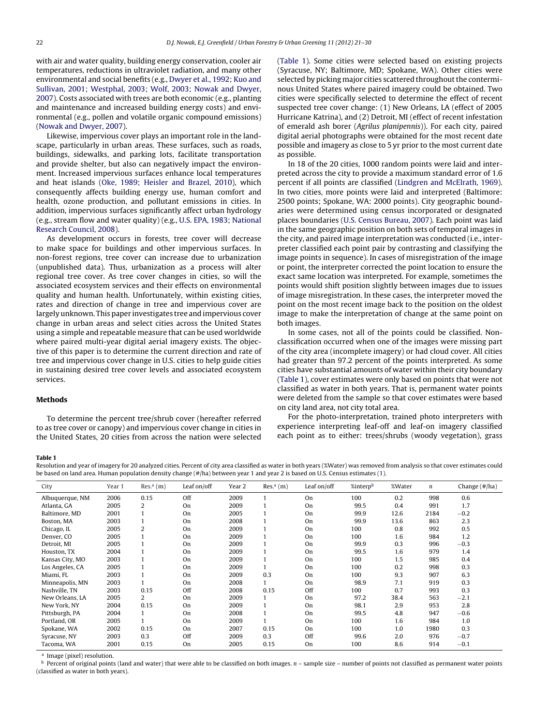with air and water quality, building energy conservation, cooler air temperatures, reductions in ultraviolet radiation, and many other environmental and social benefits (e.g., [Dwyer](#page-9-0) et [al.,](#page-9-0) [1992;](#page-9-0) [Kuo](#page-9-0) [and](#page-9-0) [Sullivan,](#page-9-0) [2001;](#page-9-0) [Westphal,](#page-9-0) [2003;](#page-9-0) [Wolf,](#page-9-0) [2003;](#page-9-0) [Nowak](#page-9-0) [and](#page-9-0) [Dwyer,](#page-9-0) [2007\).](#page-9-0) Costs associated with trees are both economic (e.g., planting and maintenance and increased building energy costs) and environmental (e.g., pollen and volatile organic compound emissions) ([Nowak](#page-9-0) [and](#page-9-0) [Dwyer,](#page-9-0) [2007\).](#page-9-0)

Likewise, impervious cover plays an important role in the landscape, particularly in urban areas. These surfaces, such as roads, buildings, sidewalks, and parking lots, facilitate transportation and provide shelter, but also can negatively impact the environment. Increased impervious surfaces enhance local temperatures and heat islands [\(Oke,](#page-9-0) [1989;](#page-9-0) [Heisler](#page-9-0) [and](#page-9-0) [Brazel,](#page-9-0) [2010\),](#page-9-0) which consequently affects building energy use, human comfort and health, ozone production, and pollutant emissions in cities. In addition, impervious surfaces significantly affect urban hydrology (e.g., stream flow and water quality) (e.g., [U.S.](#page-9-0) [EPA,](#page-9-0) [1983;](#page-9-0) [National](#page-9-0) [Research](#page-9-0) [Council,](#page-9-0) [2008\).](#page-9-0)

As development occurs in forests, tree cover will decrease to make space for buildings and other impervious surfaces. In non-forest regions, tree cover can increase due to urbanization (unpublished data). Thus, urbanization as a process will alter regional tree cover. As tree cover changes in cities, so will the associated ecosystem services and their effects on environmental quality and human health. Unfortunately, within existing cities, rates and direction of change in tree and impervious cover are largely unknown. This paper investigates tree and impervious cover change in urban areas and select cities across the United States using a simple and repeatable measure that can be used worldwide where paired multi-year digital aerial imagery exists. The objective of this paper is to determine the current direction and rate of tree and impervious cover change in U.S. cities to help guide cities in sustaining desired tree cover levels and associated ecosystem services.

# **Methods**

To determine the percent tree/shrub cover (hereafter referred to as tree cover or canopy) and impervious cover change in cities in the United States, 20 cities from across the nation were selected (Table 1). Some cities were selected based on existing projects (Syracuse, NY; Baltimore, MD; Spokane, WA). Other cities were selected by picking major cities scattered throughout the conterminous United States where paired imagery could be obtained. Two cities were specifically selected to determine the effect of recent suspected tree cover change: (1) New Orleans, LA (effect of 2005 Hurricane Katrina), and (2) Detroit, MI (effect of recent infestation of emerald ash borer (Agrilus planipennis)). For each city, paired digital aerial photographs were obtained for the most recent date possible and imagery as close to 5 yr prior to the most current date as possible.

In 18 of the 20 cities, 1000 random points were laid and interpreted across the city to provide a maximum standard error of 1.6 percent if all points are classified ([Lindgren](#page-9-0) [and](#page-9-0) [McElrath,](#page-9-0) [1969\).](#page-9-0) In two cities, more points were laid and interpreted (Baltimore: 2500 points; Spokane, WA: 2000 points). City geographic boundaries were determined using census incorporated or designated places boundaries [\(U.S.](#page-9-0) [Census](#page-9-0) [Bureau,](#page-9-0) [2007\).](#page-9-0) Each point was laid in the same geographic position on both sets of temporal images in the city, and paired image interpretation was conducted (i.e., interpreter classified each point pair by contrasting and classifying the image points in sequence). In cases of misregistration of the image or point, the interpreter corrected the point location to ensure the exact same location was interpreted. For example, sometimes the points would shift position slightly between images due to issues of image misregistration. In these cases, the interpreter moved the point on the most recent image back to the position on the oldest image to make the interpretation of change at the same point on both images.

In some cases, not all of the points could be classified. Nonclassification occurred when one of the images were missing part of the city area (incomplete imagery) or had cloud cover. All cities had greater than 97.2 percent of the points interpreted. As some cities have substantial amounts of water within their city boundary (Table 1), cover estimates were only based on points that were not classified as water in both years. That is, permanent water points were deleted from the sample so that cover estimates were based on city land area, not city total area.

For the photo-interpretation, trained photo interpreters with experience interpreting leaf-off and leaf-on imagery classified each point as to either: trees/shrubs (woody vegetation), grass

#### **Table 1**

Resolution and year of imagery for 20 analyzed cities. Percent of city area classified as water in both years (%Water) was removed from analysis so that cover estimates could be based on land area. Human population density change (#/ha) between year 1 and year 2 is based on U.S. Census estimates ([1\).](#page-9-0)

| City            | Year 1 | Res. <sup>a</sup> (m) | Leaf on/off | Year 2 | $Res.a$ (m) | Leaf on/off | %interp <sup>b</sup> | %Water | n    | Change $(\#/ha)$ |
|-----------------|--------|-----------------------|-------------|--------|-------------|-------------|----------------------|--------|------|------------------|
| Albuquerque, NM | 2006   | 0.15                  | Off         | 2009   |             | On          | 100                  | 0.2    | 998  | 0.6              |
| Atlanta, GA     | 2005   | 2                     | On          | 2009   |             | On          | 99.5                 | 0.4    | 991  | 1.7              |
| Baltimore, MD   | 2001   |                       | On          | 2005   |             | On          | 99.9                 | 12.6   | 2184 | $-0.2$           |
| Boston, MA      | 2003   |                       | On          | 2008   |             | On          | 99.9                 | 13.6   | 863  | 2.3              |
| Chicago, IL     | 2005   | 2                     | On          | 2009   |             | On          | 100                  | 0.8    | 992  | 0.5              |
| Denver, CO      | 2005   |                       | On          | 2009   |             | On          | 100                  | 1.6    | 984  | 1.2              |
| Detroit, MI     | 2005   |                       | On          | 2009   |             | On          | 99.9                 | 0.3    | 996  | $-0.3$           |
| Houston, TX     | 2004   |                       | On          | 2009   |             | On          | 99.5                 | 1.6    | 979  | 1.4              |
| Kansas City, MO | 2003   |                       | On          | 2009   |             | On          | 100                  | 1.5    | 985  | 0.4              |
| Los Angeles, CA | 2005   |                       | On          | 2009   |             | On          | 100                  | 0.2    | 998  | 0.3              |
| Miami, FL       | 2003   |                       | On          | 2009   | 0.3         | On          | 100                  | 9.3    | 907  | 6.3              |
| Minneapolis, MN | 2003   |                       | On          | 2008   |             | On          | 98.9                 | 7.1    | 919  | 0.3              |
| Nashville, TN   | 2003   | 0.15                  | Off         | 2008   | 0.15        | Off         | 100                  | 0.7    | 993  | 0.3              |
| New Orleans, LA | 2005   | $\overline{2}$        | On          | 2009   |             | On          | 97.2                 | 38.4   | 563  | $-2.1$           |
| New York, NY    | 2004   | 0.15                  | On          | 2009   |             | On          | 98.1                 | 2.9    | 953  | 2.8              |
| Pittsburgh, PA  | 2004   |                       | On          | 2008   |             | On          | 99.5                 | 4.8    | 947  | $-0.6$           |
| Portland, OR    | 2005   |                       | On          | 2009   |             | On          | 100                  | 1.6    | 984  | 1.0              |
| Spokane, WA     | 2002   | 0.15                  | On          | 2007   | 0.15        | On          | 100                  | 1.0    | 1980 | 0.3              |
| Syracuse, NY    | 2003   | 0.3                   | Off         | 2009   | 0.3         | Off         | 99.6                 | 2.0    | 976  | $-0.7$           |
| Tacoma, WA      | 2001   | 0.15                  | On          | 2005   | 0.15        | On          | 100                  | 8.6    | 914  | $-0.1$           |

<sup>a</sup> Image (pixel) resolution.

 $\frac{b}{c}$  Percent of original points (land and water) that were able to be classified on both images.  $n -$  sample size – number of points not classified as permanent water points (classified as water in both years).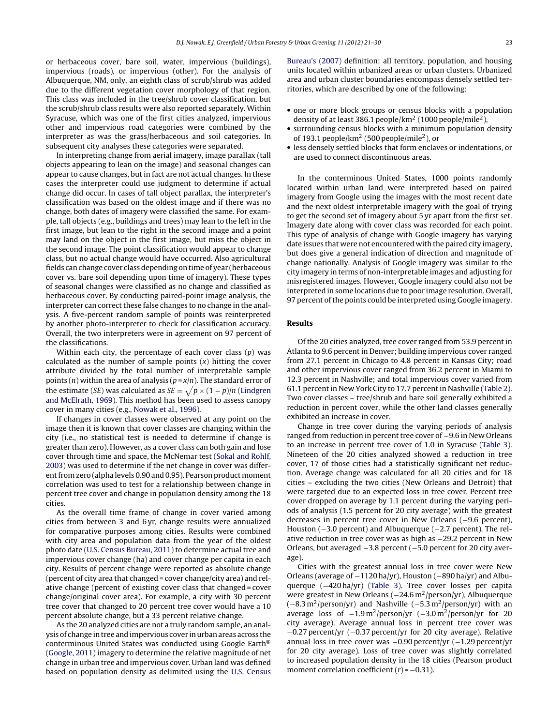or herbaceous cover, bare soil, water, impervious (buildings), impervious (roads), or impervious (other). For the analysis of Albuquerque, NM, only, an eighth class of scrub/shrub was added due to the different vegetation cover morphology of that region. This class was included in the tree/shrub cover classification, but the scrub/shrub class results were also reported separately. Within Syracuse, which was one of the first cities analyzed, impervious other and impervious road categories were combined by the interpreter as was the grass/herbaceous and soil categories. In subsequent city analyses these categories were separated.

In interpreting change from aerial imagery, image parallax (tall objects appearing to lean on the image) and seasonal changes can appear to cause changes, but in fact are not actual changes. In these cases the interpreter could use judgment to determine if actual change did occur. In cases of tall object parallax, the interpreter's classification was based on the oldest image and if there was no change, both dates of imagery were classified the same. For example, tall objects (e.g., buildings and trees) may lean to the left in the first image, but lean to the right in the second image and a point may land on the object in the first image, but miss the object in the second image. The point classification would appear to change class, but no actual change would have occurred. Also agricultural fields can change cover class depending on time of year (herbaceous cover vs. bare soil depending upon time of imagery). These types of seasonal changes were classified as no change and classified as herbaceous cover. By conducting paired-point image analysis, the interpreter can correct these false changes to no change in the analysis. A five-percent random sample of points was reinterpreted by another photo-interpreter to check for classification accuracy. Overall, the two interpreters were in agreement on 97 percent of the classifications.

Within each city, the percentage of each cover class  $(p)$  was calculated as the number of sample points  $(x)$  hitting the cover attribute divided by the total number of interpretable sample points (n) within the area of analysis ( $p = x/n$ ). The standard error of the estimate (SE) was calculated as  $SE = \sqrt{p \times (1-p)/n}$  [\(Lindgren](#page-9-0) [and](#page-9-0) [McElrath,](#page-9-0) [1969\).](#page-9-0) This method has been used to assess canopy cover in many cities (e.g., [Nowak](#page-9-0) et [al.,](#page-9-0) [1996\).](#page-9-0)

If changes in cover classes were observed at any point on the image then it is known that cover classes are changing within the city (i.e., no statistical test is needed to determine if change is greater than zero). However, as a cover class can both gain and lose cover through time and space, the McNemar test [\(Sokal](#page-9-0) [and](#page-9-0) [Rohlf,](#page-9-0) [2003\)](#page-9-0) was used to determine if the net change in cover was different from zero (alpha levels 0.90 and 0.95). Pearson product moment correlation was used to test for a relationship between change in percent tree cover and change in population density among the 18 cities.

As the overall time frame of change in cover varied among cities from between 3 and 6 yr, change results were annualized for comparative purposes among cities. Results were combined with city area and population data from the year of the oldest photo date [\(U.S.](#page-9-0) [Census](#page-9-0) [Bureau,](#page-9-0) [2011\)](#page-9-0) to determine actual tree and impervious cover change (ha) and cover change per capita in each city. Results of percent change were reported as absolute change (percent of city area that changed = cover change/city area) and relative change (percent of existing cover class that changed = cover change/original cover area). For example, a city with 30 percent tree cover that changed to 20 percent tree cover would have a 10 percent absolute change, but a 33 percent relative change.

As the 20 analyzed cities are not a truly random sample, an analysis of change in tree and impervious cover in urban areas across the conterminous United States was conducted using Google Earth® ([Google,](#page-9-0) [2011\)](#page-9-0) imagery to determine the relative magnitude of net change in urban tree and impervious cover. Urban land was defined based on population density as delimited using the [U.S.](#page-9-0) [Census](#page-9-0)

[Bureau's](#page-9-0) [\(2007\)](#page-9-0) definition: all territory, population, and housing units located within urbanized areas or urban clusters. Urbanized area and urban cluster boundaries encompass densely settled territories, which are described by one of the following:

- one or more block groups or census blocks with a population density of at least 386.1 people/km2 (1000 people/mile2),
- surrounding census blocks with a minimum population density of 193.1 people/km2 (500 people/mile2), or
- less densely settled blocks that form enclaves or indentations, or are used to connect discontinuous areas.

In the conterminous United States, 1000 points randomly located within urban land were interpreted based on paired imagery from Google using the images with the most recent date and the next oldest interpretable imagery with the goal of trying to get the second set of imagery about 5 yr apart from the first set. Imagery date along with cover class was recorded for each point. This type of analysis of change with Google imagery has varying date issues that were not encountered with the paired city imagery, but does give a general indication of direction and magnitude of change nationally. Analysis of Google imagery was similar to the city imagery in terms of non-interpretable images and adjusting for misregistered images. However, Google imagery could also not be interpreted in some locations due to poor image resolution. Overall, 97 percent of the points could be interpreted using Google imagery.

## **Results**

Of the 20 cities analyzed, tree cover ranged from 53.9 percent in Atlanta to 9.6 percent in Denver; building impervious cover ranged from 27.1 percent in Chicago to 4.8 percent in Kansas City; road and other impervious cover ranged from 36.2 percent in Miami to 12.3 percent in Nashville; and total impervious cover varied from 61.1 percentin New York City to 17.7 percentin Nashville ([Table](#page-3-0) 2). Two cover classes – tree/shrub and bare soil generally exhibited a reduction in percent cover, while the other land classes generally exhibited an increase in cover.

Change in tree cover during the varying periods of analysis ranged from reduction in percent tree cover of −9.6 in New Orleans to an increase in percent tree cover of 1.0 in Syracuse [\(Table](#page-7-0) 3). Nineteen of the 20 cities analyzed showed a reduction in tree cover, 17 of those cities had a statistically significant net reduction. Average change was calculated for all 20 cities and for 18 cities – excluding the two cities (New Orleans and Detroit) that were targeted due to an expected loss in tree cover. Percent tree cover dropped on average by 1.1 percent during the varying periods of analysis (1.5 percent for 20 city average) with the greatest decreases in percent tree cover in New Orleans (−9.6 percent), Houston (−3.0 percent) and Albuquerque (−2.7 percent). The relative reduction in tree cover was as high as −29.2 percent in New Orleans, but averaged −3.8 percent (−5.0 percent for 20 city average).

Cities with the greatest annual loss in tree cover were New Orleans (average of −1120 ha/yr), Houston (−890 ha/yr) and Albuquerque (−420 ha/yr) ([Table](#page-7-0) 3). Tree cover losses per capita were greatest in New Orleans ( $-24.6$  m<sup>2</sup>/person/yr), Albuquerque  $(-8.3 \text{ m}^2/\text{person/yr})$  and Nashville  $(-5.3 \text{ m}^2/\text{person/yr})$  with an average loss of  $-1.9 \text{ m}^2/\text{person/yr}$  ( $-3.0 \text{ m}^2/\text{person/yr}$  for 20 city average). Average annual loss in percent tree cover was −0.27 percent/yr (−0.37 percent/yr for 20 city average). Relative annual loss in tree cover was -0.90 percent/yr (-1.29 percent/yr for 20 city average). Loss of tree cover was slightly correlated to increased population density in the 18 cities (Pearson product moment correlation coefficient  $(r) = -0.31$ ).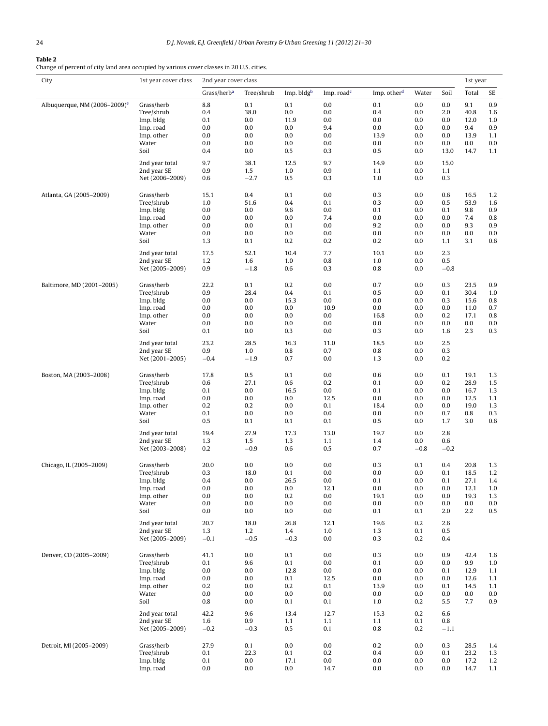# <span id="page-3-0"></span>**Table 2**

Change of percent of city land area occupied by various cover classes in 20 U.S. cities.

| City                                     | 1st year cover class           | 2nd year cover class    |               |                        |                        |                         |            |               |                  |            |
|------------------------------------------|--------------------------------|-------------------------|---------------|------------------------|------------------------|-------------------------|------------|---------------|------------------|------------|
|                                          |                                | Grass/herb <sup>a</sup> | Tree/shrub    | Imp. bldg <sup>b</sup> | Imp. road <sup>c</sup> | Imp. other <sup>d</sup> | Water      | Soil          | Total            | SE         |
| Albuquerque, NM (2006-2009) <sup>e</sup> | Grass/herb                     | 8.8                     | 0.1           | 0.1                    | 0.0                    | 0.1                     | 0.0        | 0.0           | 9.1              | 0.9        |
|                                          | Tree/shrub                     | 0.4                     | 38.0          | 0.0                    | 0.0                    | 0.4                     | 0.0        | 2.0           | 40.8             | 1.6        |
|                                          | Imp. bldg                      | 0.1                     | 0.0           | 11.9                   | 0.0                    | 0.0                     | 0.0        | 0.0           | 12.0             | 1.0        |
|                                          | Imp. road                      | 0.0                     | 0.0           | 0.0                    | 9.4                    | 0.0                     | 0.0        | 0.0           | 9.4              | 0.9        |
|                                          | Imp. other                     | 0.0                     | 0.0           | 0.0                    | 0.0                    | 13.9                    | 0.0        | 0.0           | 13.9             | 1.1<br>0.0 |
|                                          | Water<br>Soil                  | 0.0<br>0.4              | 0.0<br>0.0    | 0.0<br>0.5             | 0.0<br>0.3             | 0.0<br>0.5              | 0.0<br>0.0 | 0.0<br>13.0   | 0.0<br>14.7      | 1.1        |
|                                          |                                |                         |               |                        |                        |                         |            |               |                  |            |
|                                          | 2nd year total                 | 9.7                     | 38.1          | 12.5                   | 9.7                    | 14.9                    | 0.0        | 15.0          |                  |            |
|                                          | 2nd year SE                    | 0.9                     | 1.5           | 1.0                    | 0.9                    | 1.1                     | 0.0        | 1.1           |                  |            |
|                                          | Net (2006-2009)                | 0.6                     | $-2.7$        | 0.5                    | 0.3                    | 1.0                     | 0.0        | 0.3           |                  |            |
| Atlanta, GA (2005-2009)                  | Grass/herb                     | 15.1                    | 0.4           | 0.1                    | 0.0                    | 0.3                     | 0.0        | 0.6           | 16.5             | 1.2        |
|                                          | Tree/shrub                     | 1.0                     | 51.6          | 0.4                    | 0.1                    | 0.3                     | 0.0        | 0.5           | 53.9             | 1.6        |
|                                          | Imp. bldg                      | 0.0                     | 0.0           | 9.6                    | 0.0                    | 0.1                     | 0.0        | 0.1           | 9.8              | 0.9        |
|                                          | Imp. road                      | 0.0                     | 0.0           | 0.0                    | 7.4                    | 0.0                     | 0.0        | 0.0           | 7.4              | 0.8        |
|                                          | Imp. other                     | 0.0                     | 0.0           | 0.1                    | 0.0                    | 9.2                     | 0.0        | 0.0           | 9.3              | 0.9        |
|                                          | Water                          | 0.0                     | 0.0           | 0.0                    | 0.0                    | 0.0                     | 0.0        | 0.0           | 0.0              | 0.0        |
|                                          | Soil                           | 1.3                     | 0.1           | 0.2                    | 0.2                    | 0.2                     | 0.0        | 1.1           | 3.1              | 0.6        |
|                                          | 2nd year total                 | 17.5                    | 52.1          | 10.4                   | 7.7                    | 10.1                    | 0.0        | 2.3           |                  |            |
|                                          | 2nd year SE                    | 1.2                     | 1.6           | 1.0                    | 0.8                    | 1.0                     | 0.0        | 0.5           |                  |            |
|                                          | Net (2005-2009)                | 0.9                     | $-1.8$        | 0.6                    | 0.3                    | 0.8                     | 0.0        | $-0.8$        |                  |            |
| Baltimore, MD (2001-2005)                | Grass/herb                     | 22.2                    | 0.1           | 0.2                    | 0.0                    | 0.7                     | 0.0        | 0.3           | 23.5             | 0.9        |
|                                          | Tree/shrub                     | 0.9                     | 28.4          | 0.4                    | 0.1                    | 0.5                     | 0.0        | 0.1           | 30.4             | 1.0        |
|                                          | Imp. bldg                      | 0.0                     | 0.0           | 15.3                   | 0.0                    | 0.0                     | 0.0        | 0.3           | 15.6             | 0.8        |
|                                          | Imp. road                      | 0.0                     | 0.0           | 0.0                    | 10.9                   | 0.0                     | 0.0        | 0.0           | 11.0             | 0.7        |
|                                          | Imp. other                     | 0.0                     | 0.0           | 0.0                    | 0.0                    | 16.8                    | 0.0        | 0.2           | 17.1             | 0.8        |
|                                          | Water                          | 0.0                     | 0.0           | 0.0                    | 0.0                    | 0.0                     | 0.0        | 0.0           | 0.0              | 0.0        |
|                                          | Soil                           | 0.1                     | 0.0           | 0.3                    | 0.0                    | 0.3                     | 0.0        | 1.6           | 2.3              | 0.3        |
|                                          | 2nd year total                 | 23.2                    | 28.5          | 16.3                   | 11.0                   | 18.5                    | 0.0        | 2.5           |                  |            |
|                                          | 2nd year SE                    | 0.9                     | 1.0           | 0.8                    | 0.7                    | 0.8                     | 0.0        | 0.3           |                  |            |
|                                          | Net (2001-2005)                | $-0.4$                  | $-1.9$        | 0.7                    | 0.0                    | 1.3                     | 0.0        | 0.2           |                  |            |
| Boston, MA (2003-2008)                   | Grass/herb                     | 17.8                    | 0.5           | 0.1                    | 0.0                    | 0.6                     | 0.0        | 0.1           | 19.1             | 1.3        |
|                                          | Tree/shrub                     | 0.6                     | 27.1          | 0.6                    | 0.2                    | 0.1                     | 0.0        | 0.2           | 28.9             | 1.5        |
|                                          | Imp. bldg                      | 0.1                     | 0.0           | 16.5                   | 0.0                    | 0.1                     | 0.0        | 0.0           | 16.7             | 1.3        |
|                                          | Imp. road                      | 0.0                     | 0.0           | 0.0                    | 12.5                   | 0.0                     | 0.0        | 0.0           | 12.5             | 1.1        |
|                                          | Imp. other                     | 0.2                     | 0.2           | 0.0                    | 0.1                    | 18.4                    | 0.0        | 0.0           | 19.0             | 1.3        |
|                                          | Water                          | 0.1                     | 0.0           | 0.0                    | 0.0                    | 0.0                     | 0.0        | 0.7           | 0.8              | 0.3        |
|                                          | Soil                           | 0.5                     | 0.1           | 0.1                    | 0.1                    | 0.5                     | 0.0        | 1.7           | 3.0              | 0.6        |
|                                          | 2nd year total                 | 19.4                    | 27.9          | 17.3                   | 13.0                   | 19.7                    | 0.0        | 2.8           |                  |            |
|                                          | 2nd year SE                    | 1.3                     | 1.5           | 1.3                    | 1.1                    | 1.4                     | $0.0\,$    | 0.6           |                  |            |
|                                          | Net (2003-2008)                | 0.2                     | $-0.9$        | 0.6                    | 0.5                    | 0.7                     | $-0.8$     | $-0.2$        |                  |            |
| Chicago, IL (2005-2009)                  | Grass/herb                     | 20.0                    | 0.0           | 0.0                    | 0.0                    | 0.3                     | 0.1        | 0.4           | 20.8             | 1.3        |
|                                          | Tree/shrub                     | 0.3                     | 18.0          | 0.1                    | 0.0                    | $0.0\,$                 | $0.0\,$    | 0.1           | 18.5             | $1.2\,$    |
|                                          | Imp. bldg                      | 0.4                     | 0.0           | 26.5                   | 0.0                    | 0.1                     | 0.0        | 0.1           | 27.1             | 1.4        |
|                                          | Imp. road                      | 0.0                     | 0.0           | 0.0                    | 12.1                   | 0.0                     | 0.0        | 0.0           | 12.1             | 1.0        |
|                                          | Imp. other                     | 0.0                     | 0.0           | 0.2                    | 0.0                    | 19.1                    | 0.0        | 0.0           | 19.3             | 1.3        |
|                                          | Water                          | 0.0                     | 0.0           | 0.0                    | 0.0                    | 0.0                     | 0.0        | 0.0           | 0.0              | 0.0        |
|                                          | Soil                           | 0.0                     | 0.0           | 0.0                    | 0.0                    | 0.1                     | 0.1        | 2.0           | $2.2\phantom{0}$ | 0.5        |
|                                          | 2nd year total                 | 20.7                    | 18.0          | 26.8                   | 12.1                   | 19.6                    | 0.2        | 2.6           |                  |            |
|                                          | 2nd year SE                    | 1.3                     | 1.2           | 1.4                    | 1.0                    | 1.3                     | 0.1        | 0.5           |                  |            |
|                                          | Net (2005-2009)                | $-0.1$                  | $-0.5$        | $-0.3$                 | 0.0                    | 0.3                     | 0.2        | 0.4           |                  |            |
| Denver, CO (2005-2009)                   | Grass/herb                     | 41.1                    | 0.0           | 0.1                    | 0.0                    | 0.3                     | 0.0        | 0.9           | 42.4             | 1.6        |
|                                          | Tree/shrub                     | 0.1                     | 9.6           | 0.1                    | 0.0                    | 0.1                     | 0.0        | 0.0           | 9.9              | 1.0        |
|                                          | Imp. bldg                      | 0.0                     | 0.0           | 12.8                   | 0.0                    | 0.0                     | 0.0        | 0.1           | 12.9             | 1.1        |
|                                          | Imp. road                      | 0.0                     | 0.0           | 0.1                    | 12.5                   | 0.0                     | 0.0        | 0.0           | 12.6             | 1.1        |
|                                          | Imp. other                     | 0.2                     | 0.0           | 0.2                    | 0.1                    | 13.9                    | 0.0        | 0.1           | 14.5             | 1.1        |
|                                          | Water                          | 0.0                     | 0.0           | 0.0                    | 0.0                    | 0.0                     | 0.0        | 0.0           | 0.0              | 0.0        |
|                                          | Soil                           | 0.8                     | 0.0           | 0.1                    | 0.1                    | 1.0                     | 0.2        | 5.5           | 7.7              | 0.9        |
|                                          | 2nd year total                 | 42.2                    | 9.6           | 13.4                   | 12.7                   | 15.3                    | 0.2        | 6.6           |                  |            |
|                                          | 2nd year SE<br>Net (2005-2009) | 1.6<br>$-0.2$           | 0.9<br>$-0.3$ | 1.1<br>0.5             | 1.1<br>0.1             | 1.1<br>0.8              | 0.1<br>0.2 | 0.8<br>$-1.1$ |                  |            |
|                                          |                                |                         |               |                        |                        |                         |            |               |                  |            |
| Detroit, MI (2005-2009)                  | Grass/herb                     | 27.9                    | 0.1           | 0.0                    | 0.0                    | 0.2                     | 0.0        | 0.3           | 28.5             | 1.4        |
|                                          | Tree/shrub                     | 0.1                     | 22.3          | 0.1                    | 0.2                    | 0.4                     | 0.0        | 0.1           | 23.2             | 1.3        |
|                                          | Imp. bldg                      | 0.1                     | 0.0           | 17.1                   | $0.0\,$                | 0.0                     | 0.0        | 0.0           | 17.2             | 1.2        |
|                                          | Imp. road                      | 0.0                     | 0.0           | 0.0                    | 14.7                   | 0.0                     | 0.0        | 0.0           | 14.7             | 1.1        |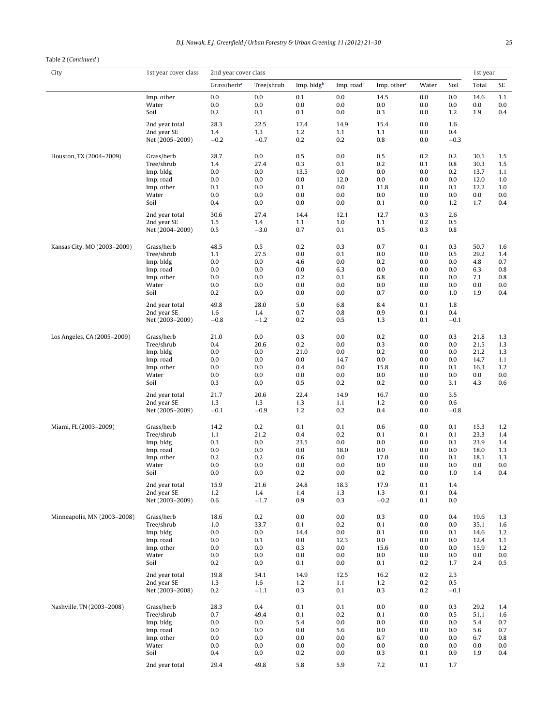# Table 2 (Continued )

| City                        | 1st year cover class           | 2nd year cover class    |                 |                        |                |                         |            |                |              |                    |
|-----------------------------|--------------------------------|-------------------------|-----------------|------------------------|----------------|-------------------------|------------|----------------|--------------|--------------------|
|                             |                                | Grass/herb <sup>a</sup> | Tree/shrub      | Imp. bldg <sup>b</sup> | Imp. road $c$  | Imp. other <sup>d</sup> | Water      | Soil           | Total        | SE                 |
|                             | Imp. other                     | 0.0                     | 0.0             | 0.1                    | 0.0            | 14.5                    | 0.0        | 0.0            | 14.6         | 1.1                |
|                             | Water                          | 0.0                     | 0.0             | 0.0                    | 0.0            | 0.0                     | 0.0        | 0.0            | 0.0          | 0.0                |
|                             | Soil                           | 0.2                     | 0.1             | 0.1                    | 0.0            | 0.3                     | 0.0        | 1.2            | 1.9          | 0.4                |
|                             | 2nd year total                 | 28.3                    | 22.5            | 17.4                   | 14.9           | 15.4                    | 0.0        | 1.6            |              |                    |
|                             | 2nd year SE                    | 1.4                     | 1.3             | 1.2                    | 1.1            | 1.1                     | 0.0        | 0.4            |              |                    |
|                             | Net (2005-2009)                | $-0.2$                  | $-0.7$          | 0.2                    | 0.2            | 0.8                     | 0.0        | $-0.3$         |              |                    |
| Houston, TX (2004-2009)     | Grass/herb                     | 28.7                    | 0.0             | 0.5                    | 0.0            | 0.5                     | 0.2        | 0.2            | 30.1         | 1.5                |
|                             | Tree/shrub                     | 1.4                     | 27.4            | 0.3                    | 0.1            | 0.2                     | 0.1        | 0.8            | 30.3         | 1.5                |
|                             | Imp. bldg                      | 0.0                     | 0.0             | 13.5                   | 0.0            | 0.0                     | 0.0        | 0.2            | 13.7         | 1.1                |
|                             | Imp. road                      | 0.0                     | 0.0             | 0.0                    | 12.0           | 0.0                     | 0.0        | 0.0<br>0.1     | 12.0         | 1.0                |
|                             | Imp. other<br>Water            | 0.1<br>0.0              | 0.0<br>0.0      | 0.1<br>0.0             | 0.0<br>0.0     | 11.8<br>0.0             | 0.0<br>0.0 | 0.0            | 12.2<br>0.0  | 1.0<br>0.0         |
|                             | Soil                           | 0.4                     | 0.0             | 0.0                    | 0.0            | 0.1                     | 0.0        | 1.2            | 1.7          | 0.4                |
|                             | 2nd year total                 | 30.6                    | 27.4            | 14.4                   | 12.1           | 12.7                    | 0.3        | 2.6            |              |                    |
|                             | 2nd year SE                    | 1.5                     | 1.4             | 1.1                    | 1.0            | 1.1                     | 0.2        | 0.5            |              |                    |
|                             | Net (2004-2009)                | 0.5                     | $-3.0$          | 0.7                    | 0.1            | 0.5                     | 0.3        | 0.8            |              |                    |
| Kansas City, MO (2003-2009) | Grass/herb                     | 48.5                    | 0.5             | 0.2                    | 0.3            | 0.7                     | 0.1        | 0.3            | 50.7         | 1.6                |
|                             | Tree/shrub                     | 1.1                     | 27.5            | 0.0                    | 0.1            | 0.0                     | 0.0        | 0.5            | 29.2         | 1.4                |
|                             | Imp. bldg                      | 0.0                     | 0.0             | 4.6                    | 0.0            | 0.2                     | 0.0        | 0.0            | 4.8          | 0.7                |
|                             | Imp. road                      | 0.0                     | 0.0             | 0.0                    | 6.3            | 0.0                     | 0.0        | 0.0            | 6.3          | 0.8                |
|                             | Imp. other                     | 0.0                     | 0.0             | 0.2                    | 0.1            | 6.8                     | 0.0        | 0.0            | 7.1          | 0.8                |
|                             | Water<br>Soil                  | 0.0<br>0.2              | 0.0<br>0.0      | 0.0<br>0.0             | 0.0<br>0.0     | 0.0<br>0.7              | 0.0<br>0.0 | 0.0<br>1.0     | 0.0<br>1.9   | 0.0<br>0.4         |
|                             | 2nd year total                 | 49.8                    | 28.0            | 5.0                    | 6.8            | 8.4                     | 0.1        | 1.8            |              |                    |
|                             | 2nd year SE                    | 1.6                     | 1.4             | 0.7                    | 0.8            | 0.9                     | 0.1        | 0.4            |              |                    |
|                             | Net (2003-2009)                | $-0.8$                  | $-1.2$          | 0.2                    | 0.5            | 1.3                     | 0.1        | $-0.1$         |              |                    |
| Los Angeles, CA (2005-2009) | Grass/herb                     | 21.0                    | 0.0             | 0.3                    | 0.0            | 0.2                     | 0.0        | 0.3            | 21.8         | 1.3                |
|                             | Tree/shrub                     | 0.4                     | 20.6            | 0.2                    | 0.0            | 0.3                     | 0.0        | 0.0            | 21.5         | 1.3                |
|                             | Imp. bldg                      | 0.0                     | 0.0             | 21.0                   | 0.0            | 0.2                     | 0.0        | 0.0            | 21.2         | 1.3                |
|                             | Imp. road                      | 0.0                     | 0.0             | 0.0                    | 14.7           | 0.0                     | 0.0        | 0.0            | 14.7         | 1.1                |
|                             | Imp. other                     | 0.0                     | 0.0             | 0.4                    | 0.0            | 15.8                    | 0.0        | 0.1            | 16.3         | 1.2                |
|                             | Water<br>Soil                  | 0.0<br>0.3              | 0.0<br>0.0      | 0.0<br>0.5             | 0.0<br>0.2     | 0.0<br>0.2              | 0.0<br>0.0 | 0.0<br>3.1     | 0.0<br>4.3   | 0.0<br>0.6         |
|                             | 2nd year total                 | 21.7                    | 20.6            | 22.4                   | 14.9           | 16.7                    | 0.0        | 3.5            |              |                    |
|                             | 2nd year SE                    | 1.3                     | 1.3             | 1.3                    | 1.1            | 1.2                     | 0.0        | 0.6            |              |                    |
|                             | Net (2005-2009)                | $-0.1$                  | $-0.9$          | 1.2                    | 0.2            | 0.4                     | 0.0        | $-0.8$         |              |                    |
| Miami, FL (2003-2009)       | Grass/herb                     | 14.2                    | 0.2             | 0.1                    | 0.1            | 0.6                     | 0.0        | 0.1            | 15.3         | 1.2                |
|                             | Tree/shrub                     | 1.1                     | 21.2            | 0.4                    | 0.2            | 0.1                     | 0.1        | 0.1            | 23.3         | 1.4                |
|                             | Imp. bldg                      | 0.3                     | 0.0             | 23.5                   | 0.0            | 0.0                     | 0.0        | 0.1            | 23.9         | 1.4                |
|                             | Imp. road                      | 0.0                     | 0.0             | 0.0                    | 18.0           | 0.0                     | 0.0        | 0.0            | 18.0         | 1.3                |
|                             | Imp. other                     | 0.2                     | 0.2             | 0.6                    | 0.0            | 17.0                    | 0.0        | 0.1            | 18.1         | 1.3                |
|                             | Water<br>Soil                  | 0.0<br>0.0              | $0.0\,$<br>0.0  | $_{0.0}$<br>0.2        | $0.0\,$<br>0.0 | $0.0\,$<br>0.2          | 0.0<br>0.0 | $0.0\,$<br>1.0 | 0.0<br>1.4   | $0.0\,$<br>$0.4\,$ |
|                             |                                |                         |                 |                        |                |                         |            |                |              |                    |
|                             | 2nd year total                 | 15.9<br>1.2             | 21.6<br>$1.4\,$ | 24.8                   | 18.3           | 17.9<br>1.3             | 0.1        | 1.4            |              |                    |
|                             | 2nd year SE<br>Net (2003-2009) | 0.6                     | $-1.7$          | 1.4<br>0.9             | 1.3<br>0.3     | $-0.2$                  | 0.1<br>0.1 | 0.4<br>0.0     |              |                    |
| Minneapolis, MN (2003-2008) |                                |                         |                 |                        |                |                         |            |                |              |                    |
|                             | Grass/herb<br>Tree/shrub       | 18.6<br>1.0             | 0.2<br>33.7     | 0.0<br>0.1             | 0.0<br>0.2     | 0.3<br>0.1              | 0.0<br>0.0 | 0.4<br>0.0     | 19.6<br>35.1 | 1.3<br>1.6         |
|                             | Imp. bldg                      | 0.0                     | 0.0             | 14.4                   | 0.0            | 0.1                     | 0.0        | 0.1            | 14.6         | 1.2                |
|                             | Imp. road                      | 0.0                     | 0.1             | 0.0                    | 12.3           | 0.0                     | 0.0        | 0.0            | 12.4         | 1.1                |
|                             | Imp. other                     | 0.0                     | 0.0             | 0.3                    | 0.0            | 15.6                    | 0.0        | 0.0            | 15.9         | 1.2                |
|                             | Water                          | 0.0                     | 0.0             | 0.0                    | 0.0            | 0.0                     | 0.0        | 0.0            | $0.0\,$      | $0.0\,$            |
|                             | Soil                           | 0.2                     | 0.0             | 0.1                    | 0.0            | 0.1                     | 0.2        | 1.7            | 2.4          | 0.5                |
|                             | 2nd year total                 | 19.8                    | 34.1            | 14.9                   | 12.5           | 16.2                    | 0.2        | 2.3            |              |                    |
|                             | 2nd year SE<br>Net (2003-2008) | 1.3<br>0.2              | 1.6<br>$-1.1$   | 1.2<br>0.3             | 1.1<br>0.1     | 1.2<br>0.3              | 0.2<br>0.2 | 0.5<br>$-0.1$  |              |                    |
|                             | Grass/herb                     | 28.3                    | 0.4             |                        |                | $0.0\,$                 | 0.0        | 0.3            |              |                    |
| Nashville, TN (2003-2008)   | Tree/shrub                     | 0.7                     | 49.4            | 0.1<br>0.1             | 0.1<br>0.2     | 0.1                     | 0.0        | 0.5            | 29.2<br>51.1 | 1.4<br>1.6         |
|                             | Imp. bldg                      | 0.0                     | 0.0             | 5.4                    | 0.0            | 0.0                     | 0.0        | 0.0            | 5.4          | 0.7                |
|                             | Imp. road                      | 0.0                     | 0.0             | 0.0                    | 5.6            | 0.0                     | 0.0        | 0.0            | 5.6          | 0.7                |
|                             | Imp. other                     | 0.0                     | 0.0             | 0.0                    | 0.0            | 6.7                     | 0.0        | $0.0\,$        | 6.7          | $0.8\,$            |
|                             | Water                          | 0.0                     | 0.0             | 0.0                    | 0.0            | 0.0                     | 0.0        | 0.0            | 0.0          | 0.0                |
|                             | Soil                           | 0.4                     | 0.0             | 0.2                    | 0.0            | 0.3                     | 0.1        | 0.9            | 1.9          | $0.4\,$            |
|                             | 2nd year total                 | 29.4                    | 49.8            | 5.8                    | 5.9            | 7.2                     | 0.1        | 1.7            |              |                    |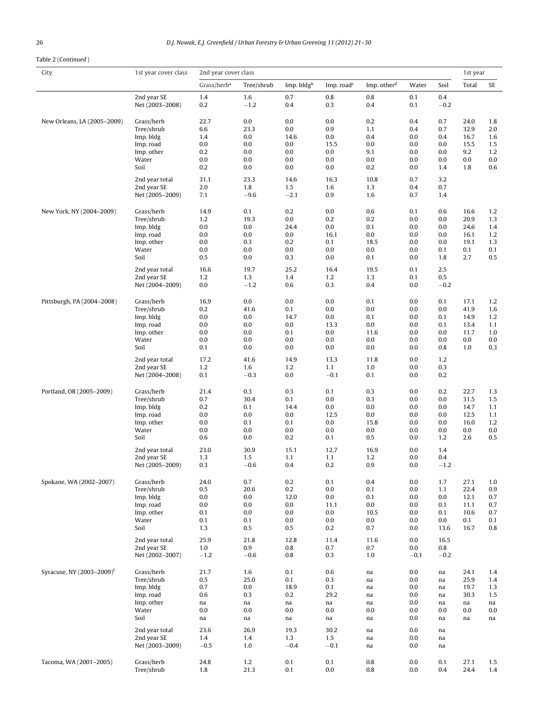Table 2 (Continued )

| City                                  | 1st year cover class           | 2nd year cover class    |               |                        |                        |                         |                |                   |              |            |
|---------------------------------------|--------------------------------|-------------------------|---------------|------------------------|------------------------|-------------------------|----------------|-------------------|--------------|------------|
|                                       |                                | Grass/herb <sup>a</sup> | Tree/shrub    | Imp. bldg <sup>b</sup> | Imp. road <sup>c</sup> | Imp. other <sup>d</sup> | Water          | Soil              | Total        | SE         |
|                                       | 2nd year SE<br>Net (2003-2008) | 1.4<br>0.2              | 1.6<br>$-1.2$ | 0.7<br>0.4             | 0.8<br>0.3             | 0.8<br>0.4              | 0.1<br>0.1     | $0.4\,$<br>$-0.2$ |              |            |
| New Orleans, LA (2005-2009)           | Grass/herb<br>Tree/shrub       | 22.7<br>6.6             | 0.0<br>23.3   | 0.0<br>0.0             | 0.0<br>0.9             | 0.2<br>1.1              | 0.4<br>0.4     | 0.7<br>0.7        | 24.0<br>32.9 | 1.8<br>2.0 |
|                                       | Imp. bldg                      | 1.4                     | 0.0           | 14.6                   | 0.0                    | 0.4                     | 0.0            | 0.4               | 16.7         | 1.6        |
|                                       | Imp. road<br>Imp. other        | 0.0<br>0.2              | 0.0<br>0.0    | 0.0<br>0.0             | 15.5<br>0.0            | 0.0<br>9.1              | 0.0<br>0.0     | 0.0<br>0.0        | 15.5<br>9.2  | 1.5<br>1.2 |
|                                       | Water                          | 0.0                     | 0.0           | 0.0                    | 0.0                    | 0.0                     | 0.0            | 0.0               | 0.0          | 0.0        |
|                                       | Soil                           | 0.2                     | 0.0           | 0.0                    | 0.0                    | 0.2                     | 0.0            | 1.4               | 1.8          | 0.6        |
|                                       | 2nd year total                 | 31.1                    | 23.3          | 14.6                   | 16.3                   | 10.8                    | 0.7            | 3.2               |              |            |
|                                       | 2nd year SE                    | 2.0                     | 1.8           | 1.5                    | 1.6                    | 1.3                     | 0.4            | 0.7               |              |            |
|                                       | Net (2005-2009)                | 7.1                     | $-9.6$        | $-2.1$                 | 0.9                    | 1.6                     | 0.7            | 1.4               |              |            |
| New York, NY (2004-2009)              | Grass/herb                     | 14.9                    | 0.1           | 0.2                    | 0.0                    | 0.6                     | 0.1            | 0.6               | 16.6         | 1.2        |
|                                       | Tree/shrub                     | 1.2                     | 19.3          | 0.0                    | 0.2                    | 0.2                     | 0.0            | 0.0               | 20.9         | 1.3        |
|                                       | Imp. bldg<br>Imp. road         | 0.0<br>0.0              | 0.0<br>0.0    | 24.4<br>0.0            | 0.0<br>16.1            | 0.1<br>0.0              | 0.0<br>0.0     | 0.0<br>0.0        | 24.6<br>16.1 | 1.4<br>1.2 |
|                                       | Imp. other                     | 0.0                     | 0.3           | 0.2                    | 0.1                    | 18.5                    | 0.0            | 0.0               | 19.1         | 1.3        |
|                                       | Water                          | 0.0                     | 0.0           | 0.0                    | 0.0                    | $0.0\,$                 | 0.0            | 0.1               | 0.1          | 0.1        |
|                                       | Soil                           | 0.5                     | 0.0           | 0.3                    | 0.0                    | 0.1                     | 0.0            | 1.8               | 2.7          | 0.5        |
|                                       | 2nd year total                 | 16.6                    | 19.7          | 25.2                   | 16.4                   | 19.5                    | 0.1            | 2.5               |              |            |
|                                       | 2nd year SE<br>Net (2004-2009) | 1.2<br>0.0              | 1.3<br>$-1.2$ | 1.4<br>0.6             | 1.2<br>0.3             | 1.3<br>0.4              | 0.1<br>0.0     | 0.5<br>$-0.2$     |              |            |
|                                       |                                |                         |               |                        |                        |                         |                |                   |              |            |
| Pittsburgh, PA (2004-2008)            | Grass/herb                     | 16.9                    | 0.0           | 0.0                    | 0.0                    | 0.1                     | 0.0            | 0.1               | 17.1         | 1.2        |
|                                       | Tree/shrub                     | 0.2                     | 41.6          | 0.1<br>14.7            | 0.0                    | 0.0                     | 0.0            | 0.0               | 41.9         | 1.6        |
|                                       | Imp. bldg<br>Imp. road         | 0.0<br>0.0              | 0.0<br>0.0    | 0.0                    | 0.0<br>13.3            | 0.1<br>0.0              | 0.0<br>0.0     | 0.1<br>0.1        | 14.9<br>13.4 | 1.2<br>1.1 |
|                                       | Imp. other                     | 0.0                     | 0.0           | 0.1                    | 0.0                    | 11.6                    | 0.0            | 0.0               | 11.7         | 1.0        |
|                                       | Water                          | 0.0                     | 0.0           | 0.0                    | 0.0                    | 0.0                     | 0.0            | 0.0               | 0.0          | 0.0        |
|                                       | Soil                           | 0.1                     | 0.0           | 0.0                    | 0.0                    | 0.0                     | 0.0            | 0.8               | 1.0          | 0.3        |
|                                       | 2nd year total                 | 17.2                    | 41.6          | 14.9                   | 13.3                   | 11.8                    | 0.0            | 1.2               |              |            |
|                                       | 2nd year SE                    | 1.2                     | 1.6           | 1.2                    | 1.1                    | 1.0                     | 0.0            | 0.3<br>0.2        |              |            |
|                                       | Net (2004-2008)                | 0.1                     | $-0.3$        | 0.0                    | $-0.1$                 | 0.1                     | 0.0            |                   |              |            |
| Portland, OR (2005-2009)              | Grass/herb                     | 21.4                    | 0.3           | 0.3                    | 0.1                    | 0.3                     | 0.0            | 0.2               | 22.7         | 1.3        |
|                                       | Tree/shrub                     | 0.7                     | 30.4          | 0.1                    | 0.0                    | 0.3                     | 0.0            | 0.0               | 31.5         | 1.5        |
|                                       | Imp. bldg                      | 0.2<br>0.0              | 0.1<br>0.0    | 14.4<br>0.0            | 0.0<br>12.5            | 0.0<br>$0.0\,$          | 0.0<br>0.0     | 0.0<br>0.0        | 14.7<br>12.5 | 1.1<br>1.1 |
|                                       | Imp. road<br>Imp. other        | 0.0                     | 0.1           | 0.1                    | 0.0                    | 15.8                    | 0.0            | 0.0               | 16.0         | 1.2        |
|                                       | Water                          | 0.0                     | 0.0           | 0.0                    | 0.0                    | $0.0\,$                 | 0.0            | 0.0               | 0.0          | 0.0        |
|                                       | Soil                           | 0.6                     | 0.0           | 0.2                    | 0.1                    | 0.5                     | 0.0            | 1.2               | 2.6          | 0.5        |
|                                       | 2nd year total                 | 23.0                    | 30.9          | 15.1                   | 12.7                   | 16.9                    | 0.0            | 1.4               |              |            |
|                                       | 2nd year SE<br>Net (2005-2009) | 1.3<br>0.3              | 1.5<br>$-0.6$ | 1.1<br>$0.4\,$         | 1.1<br>0.2             | 1.2<br>0.9              | 0.0<br>$0.0\,$ | 0.4<br>$-1.2$     |              |            |
|                                       |                                |                         |               |                        |                        |                         |                |                   |              |            |
| Spokane, WA (2002-2007)               | Grass/herb<br>Tree/shrub       | 24.0<br>0.5             | 0.7<br>20.6   | 0.2<br>0.2             | 0.1<br>0.0             | 0.4<br>0.1              | 0.0<br>0.0     | 1.7<br>1.1        | 27.1<br>22.4 | 1.0<br>0.9 |
|                                       | Imp. bldg                      | 0.0                     | 0.0           | 12.0                   | $0.0\,$                | 0.1                     | 0.0            | 0.0               | 12.1         | 0.7        |
|                                       | Imp. road                      | 0.0                     | 0.0           | 0.0                    | 11.1                   | 0.0                     | 0.0            | 0.1               | 11.1         | 0.7        |
|                                       | Imp. other                     | 0.1                     | 0.0           | 0.0                    | 0.0                    | 10.5                    | 0.0            | 0.1               | 10.6         | 0.7        |
|                                       | Water                          | 0.1                     | 0.1           | 0.0                    | 0.0                    | $0.0\,$                 | 0.0            | 0.0               | 0.1          | 0.1        |
|                                       | Soil                           | 1.3                     | 0.5           | 0.5                    | 0.2                    | 0.7                     | 0.0            | 13.6              | 16.7         | 0.8        |
|                                       | 2nd year total<br>2nd year SE  | 25.9<br>1.0             | 21.8<br>0.9   | 12.8<br>0.8            | 11.4<br>0.7            | 11.6<br>0.7             | 0.0<br>0.0     | 16.5<br>0.8       |              |            |
|                                       | Net (2002-2007)                | $-1.2$                  | $-0.6$        | 0.8                    | 0.3                    | 1.0                     | $-0.1$         | $-0.2$            |              |            |
|                                       |                                |                         |               |                        |                        |                         |                |                   |              |            |
| Syracuse, NY (2003-2009) <sup>f</sup> | Grass/herb<br>Tree/shrub       | 21.7<br>$0.5\,$         | 1.6<br>25.0   | 0.1<br>0.1             | 0.6<br>0.3             | na<br>na                | 0.0<br>0.0     | na<br>na          | 24.1<br>25.9 | 1.4<br>1.4 |
|                                       | Imp. bldg                      | 0.7                     | 0.0           | 18.9                   | 0.1                    | na                      | 0.0            | na                | 19.7         | 1.3        |
|                                       | Imp. road                      | 0.6                     | 0.3           | 0.2                    | 29.2                   | na                      | 0.0            | na                | 30.3         | 1.5        |
|                                       | Imp. other                     | na                      | na            | na                     | na                     | na                      | 0.0            | na                | na           | na         |
|                                       | Water                          | 0.0                     | 0.0           | 0.0                    | 0.0                    | 0.0                     | 0.0            | 0.0               | 0.0          | 0.0        |
|                                       | Soil                           | na                      | na            | na                     | na                     | na                      | 0.0            | na                | na           | na         |
|                                       | 2nd year total<br>2nd year SE  | 23.6<br>1.4             | 26.9<br>1.4   | 19.3<br>1.3            | 30.2<br>1.5            | na<br>na                | 0.0<br>0.0     | na<br>na          |              |            |
|                                       | Net (2003-2009)                | $-0.5$                  | 1.0           | $-0.4$                 | $-0.1$                 | na                      | 0.0            | na                |              |            |
|                                       |                                |                         |               |                        |                        |                         |                |                   |              |            |
| Tacoma, WA (2001-2005)                | Grass/herb<br>Tree/shrub       | 24.8<br>1.8             | 1.2<br>21.3   | 0.1<br>0.1             | 0.1<br>0.0             | 0.8<br>0.8              | 0.0<br>0.0     | 0.1<br>0.4        | 27.1<br>24.4 | 1.5<br>1.4 |
|                                       |                                |                         |               |                        |                        |                         |                |                   |              |            |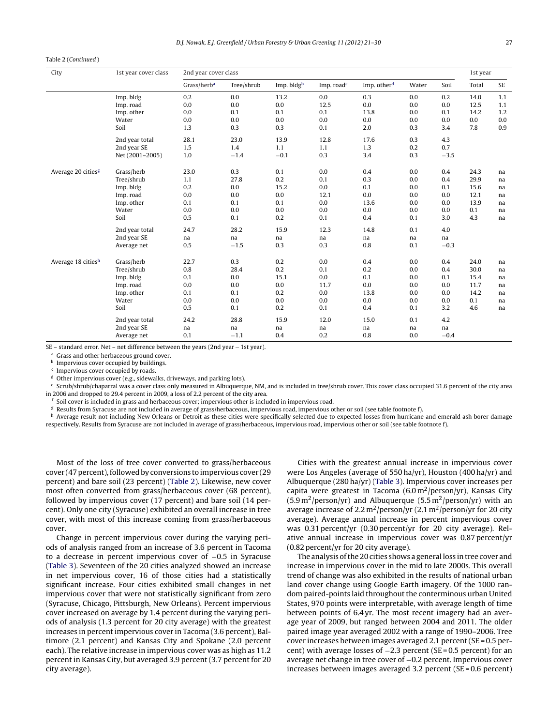#### <span id="page-6-0"></span>Table 2 (Continued )

| City                           | 1st year cover class | 2nd year cover class    |            |            |                        |                         |       |        |       |           |
|--------------------------------|----------------------|-------------------------|------------|------------|------------------------|-------------------------|-------|--------|-------|-----------|
|                                |                      | Grass/herb <sup>a</sup> | Tree/shrub | Imp. bldgb | Imp. road <sup>c</sup> | Imp. other <sup>d</sup> | Water | Soil   | Total | <b>SE</b> |
|                                | Imp. bldg            | 0.2                     | 0.0        | 13.2       | 0.0                    | 0.3                     | 0.0   | 0.2    | 14.0  | 1.1       |
|                                | Imp. road            | 0.0                     | 0.0        | 0.0        | 12.5                   | 0.0                     | 0.0   | 0.0    | 12.5  | 1.1       |
|                                | Imp. other           | 0.0                     | 0.1        | 0.1        | 0.1                    | 13.8                    | 0.0   | 0.1    | 14.2  | 1.2       |
|                                | Water                | 0.0                     | 0.0        | 0.0        | 0.0                    | 0.0                     | 0.0   | 0.0    | 0.0   | 0.0       |
|                                | Soil                 | 1.3                     | 0.3        | 0.3        | 0.1                    | 2.0                     | 0.3   | 3.4    | 7.8   | 0.9       |
|                                | 2nd year total       | 28.1                    | 23.0       | 13.9       | 12.8                   | 17.6                    | 0.3   | 4.3    |       |           |
|                                | 2nd year SE          | 1.5                     | 1.4        | 1.1        | 1.1                    | 1.3                     | 0.2   | 0.7    |       |           |
|                                | Net (2001-2005)      | 1.0                     | $-1.4$     | $-0.1$     | 0.3                    | 3.4                     | 0.3   | $-3.5$ |       |           |
| Average 20 cities <sup>g</sup> | Grass/herb           | 23.0                    | 0.3        | 0.1        | 0.0                    | 0.4                     | 0.0   | 0.4    | 24.3  | na        |
|                                | Tree/shrub           | 1.1                     | 27.8       | 0.2        | 0.1                    | 0.3                     | 0.0   | 0.4    | 29.9  | na        |
|                                | Imp. bldg            | 0.2                     | 0.0        | 15.2       | 0.0                    | 0.1                     | 0.0   | 0.1    | 15.6  | na        |
|                                | Imp. road            | 0.0                     | 0.0        | 0.0        | 12.1                   | 0.0                     | 0.0   | 0.0    | 12.1  | na        |
|                                | Imp. other           | 0.1                     | 0.1        | 0.1        | 0.0                    | 13.6                    | 0.0   | 0.0    | 13.9  | na        |
|                                | Water                | 0.0                     | 0.0        | 0.0        | 0.0                    | 0.0                     | 0.0   | 0.0    | 0.1   | na        |
|                                | Soil                 | 0.5                     | 0.1        | 0.2        | 0.1                    | 0.4                     | 0.1   | 3.0    | 4.3   | na        |
|                                | 2nd year total       | 24.7                    | 28.2       | 15.9       | 12.3                   | 14.8                    | 0.1   | 4.0    |       |           |
|                                | 2nd year SE          | na                      | na         | na         | na                     | na                      | na    | na     |       |           |
|                                | Average net          | 0.5                     | $-1.5$     | 0.3        | 0.3                    | 0.8                     | 0.1   | $-0.3$ |       |           |
| Average 18 citiesh             | Grass/herb           | 22.7                    | 0.3        | 0.2        | 0.0                    | 0.4                     | 0.0   | 0.4    | 24.0  | na        |
|                                | Tree/shrub           | $0.8\,$                 | 28.4       | 0.2        | 0.1                    | 0.2                     | 0.0   | 0.4    | 30.0  | na        |
|                                | Imp. bldg            | 0.1                     | 0.0        | 15.1       | 0.0                    | 0.1                     | 0.0   | 0.1    | 15.4  | na        |
|                                | Imp. road            | 0.0                     | 0.0        | 0.0        | 11.7                   | 0.0                     | 0.0   | 0.0    | 11.7  | na        |
|                                | Imp. other           | 0.1                     | 0.1        | 0.2        | 0.0                    | 13.8                    | 0.0   | 0.0    | 14.2  | na        |
|                                | Water                | 0.0                     | 0.0        | 0.0        | 0.0                    | 0.0                     | 0.0   | 0.0    | 0.1   | na        |
|                                | Soil                 | 0.5                     | 0.1        | 0.2        | 0.1                    | 0.4                     | 0.1   | 3.2    | 4.6   | na        |
|                                | 2nd year total       | 24.2                    | 28.8       | 15.9       | 12.0                   | 15.0                    | 0.1   | 4.2    |       |           |
|                                | 2nd year SE          | na                      | na         | na         | na                     | na                      | na    | na     |       |           |
|                                | Average net          | 0.1                     | $-1.1$     | 0.4        | 0.2                    | 0.8                     | 0.0   | $-0.4$ |       |           |

SE – standard error. Net – net difference between the years (2nd year − 1st year).

<sup>a</sup> Grass and other herbaceous ground cover.

**b** Impervious cover occupied by buildings.

Impervious cover occupied by roads.

<sup>d</sup> Other impervious cover (e.g., sidewalks, driveways, and parking lots).

Scrub/shrub/chaparral was a cover class only measured in Albuquerque, NM, and is included in tree/shrub cover. This cover class occupied 31.6 percent of the city area in 2006 and dropped to 29.4 percent in 2009, a loss of 2.2 percent of the city area.

<sup>f</sup> Soil cover is included in grass and herbaceous cover; impervious other is included in impervious road.

<sup>g</sup> Results from Syracuse are not included in average of grass/herbaceous, impervious road, impervious other or soil (see table footnote f).

h Average result not including New Orleans or Detroit as these cities were specifically selected due to expected losses from hurricane and emerald ash borer damage respectively. Results from Syracuse are not included in average of grass/herbaceous, impervious road, impervious other or soil (see table footnote f).

Most of the loss of tree cover converted to grass/herbaceous  $cover (47 percent)$ , followed by conversions to impervious cover  $(29$ percent) and bare soil (23 percent) ([Table](#page-3-0) 2). Likewise, new cover most often converted from grass/herbaceous cover (68 percent), followed by impervious cover (17 percent) and bare soil (14 percent). Only one city (Syracuse) exhibited an overall increase in tree cover, with most of this increase coming from grass/herbaceous cover.

Change in percent impervious cover during the varying periods of analysis ranged from an increase of 3.6 percent in Tacoma to a decrease in percent impervious cover of −0.5 in Syracuse ([Table](#page-7-0) 3). Seventeen of the 20 cities analyzed showed an increase in net impervious cover, 16 of those cities had a statistically significant increase. Four cities exhibited small changes in net impervious cover that were not statistically significant from zero (Syracuse, Chicago, Pittsburgh, New Orleans). Percent impervious cover increased on average by 1.4 percent during the varying periods of analysis (1.3 percent for 20 city average) with the greatest increases in percent impervious cover in Tacoma (3.6 percent), Baltimore (2.1 percent) and Kansas City and Spokane (2.0 percent each). The relative increase in impervious cover was as high as 11.2 percent in Kansas City, but averaged 3.9 percent (3.7 percent for 20 city average).

Cities with the greatest annual increase in impervious cover were Los Angeles (average of 550 ha/yr), Houston (400 ha/yr) and Albuquerque (280 ha/yr) ([Table](#page-7-0) 3). Impervious cover increases per capita were greatest in Tacoma  $(6.0 \,\mathrm{m}^2/\mathrm{person/yr})$ , Kansas City  $(5.9 \text{ m}^2/\text{person/yr})$  and Albuquerque  $(5.5 \text{ m}^2/\text{person/yr})$  with an average increase of 2.2 m<sup>2</sup>/person/yr (2.1 m<sup>2</sup>/person/yr for 20 city average). Average annual increase in percent impervious cover was 0.31 percent/yr (0.30 percent/yr for 20 city average). Relative annual increase in impervious cover was 0.87 percent/yr (0.82 percent/yr for 20 city average).

The analysis of the 20 cities shows a general loss in tree cover and increase in impervious cover in the mid to late 2000s. This overall trend of change was also exhibited in the results of national urban land cover change using Google Earth imagery. Of the 1000 random paired-points laid throughout the conterminous urban United States, 970 points were interpretable, with average length of time between points of 6.4 yr. The most recent imagery had an average year of 2009, but ranged between 2004 and 2011. The older paired image year averaged 2002 with a range of 1990–2006. Tree cover increases between images averaged 2.1 percent (SE = 0.5 percent) with average losses of −2.3 percent (SE = 0.5 percent) for an average net change in tree cover of −0.2 percent. Impervious cover increases between images averaged 3.2 percent (SE = 0.6 percent)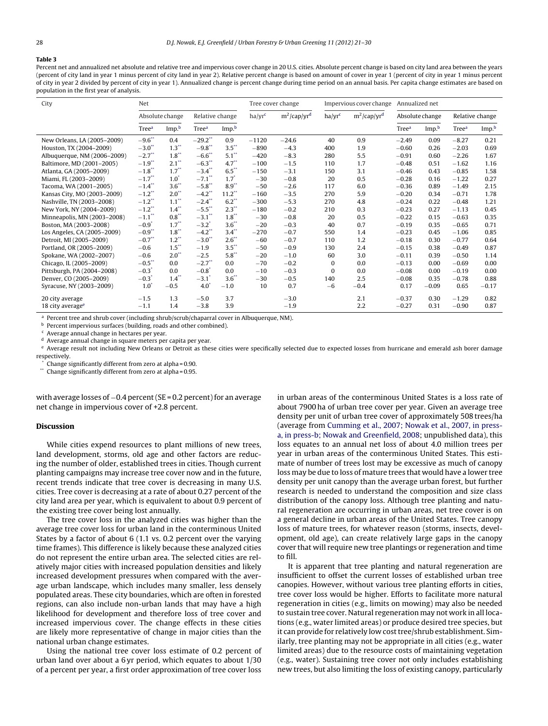### <span id="page-7-0"></span>**Table 3**

Percent net and annualized net absolute and relative tree and impervious cover change in 20 U.S. cities. Absolute percent change is based on city land area between the years (percent of city land in year 1 minus percent of city land in year 2). Relative percent change is based on amount of cover in year 1 (percent of city in year 1 minus percent of city in year 2 divided by percent of city in year 1). Annualized change is percent change during time period on an annual basis. Per capita change estimates are based on population in the first year of analysis.

| City                         | Net                 |                     |                          |                      | Tree cover change  |                            | Impervious cover change |                            | Annualized net    |                  |                          |                   |
|------------------------------|---------------------|---------------------|--------------------------|----------------------|--------------------|----------------------------|-------------------------|----------------------------|-------------------|------------------|--------------------------|-------------------|
|                              | Absolute change     |                     | Relative change          |                      | ha/yr <sup>c</sup> | $m^2$ /cap/yr <sup>d</sup> | ha/yr <sup>c</sup>      | $m^2$ /cap/yr <sup>d</sup> |                   | Absolute change  |                          | Relative change   |
|                              | Tree <sup>a</sup>   | Imp. <sup>b</sup>   | <b>Tree</b> <sup>a</sup> | Imp <sup>b</sup>     |                    |                            |                         |                            | Tree <sup>a</sup> | Imp <sup>b</sup> | <b>Tree</b> <sup>a</sup> | Imp. <sup>b</sup> |
| New Orleans, LA (2005-2009)  | $-9.6$ **           | 0.4                 | $-29.2$ **               | 0.9                  | $-1120$            | $-24.6$                    | 40                      | 0.9                        | $-2.49$           | 0.09             | $-8.27$                  | 0.21              |
| Houston, TX (2004-2009)      | $-3.0$ **           | $1.3***$            | $-9.8$ **                | $3.5***$             | $-890$             | $-4.3$                     | 400                     | 1.9                        | $-0.60$           | 0.26             | $-2.03$                  | 0.69              |
| Albuquerque, NM (2006-2009)  | $-2.7$ **           | $1.8***$            | $-6.6$ **                | $5.1$ **             | $-420$             | $-8.3$                     | 280                     | 5.5                        | $-0.91$           | 0.60             | $-2.26$                  | 1.67              |
| Baltimore, MD (2001-2005)    | $-1.9$ **           | $2.1$ **            | $-6.3$ **                | $4.7***$             | $-100$             | $-1.5$                     | 110                     | 1.7                        | $-0.48$           | 0.51             | $-1.62$                  | 1.16              |
| Atlanta, GA (2005-2009)      | $-1.8$ **           | $1.7***$            | $-3.4$ <sup>**</sup>     | $6.5***$             | $-150$             | $-3.1$                     | 150                     | 3.1                        | $-0.46$           | 0.43             | $-0.85$                  | 1.58              |
| Miami, FL (2003-2009)        | $-1.7$ **           | $1.0^{\circ}$       | $-7.1$ **                | $1.7^*$              | $-30$              | $-0.8$                     | 20                      | 0.5                        | $-0.28$           | 0.16             | $-1.22$                  | 0.27              |
| Tacoma, WA (2001-2005)       | $-1.4$ **           | $3.6***$            | $-5.8$ **                | $8.9***$             | $-50$              | $-2.6$                     | 117                     | 6.0                        | $-0.36$           | 0.89             | $-1.49$                  | 2.15              |
| Kansas City, MO (2003-2009)  | $-1.2$ **           | $2.0^{**}$          | $-4.2$ <sup>**</sup>     | $11.2$ <sup>**</sup> | $-160$             | $-3.5$                     | 270                     | 5.9                        | $-0.20$           | 0.34             | $-0.71$                  | 1.78              |
| Nashville, TN (2003-2008)    | $-1.2$ **           | $1.1$ <sup>**</sup> | $-2.4$ **                | $6.2$ **             | $-300$             | $-5.3$                     | 270                     | 4.8                        | $-0.24$           | 0.22             | $-0.48$                  | 1.21              |
| New York, NY (2004-2009)     | $-1.2$ **           | $1.4***$            | $-5.5$ **                | $2.3***$             | $-180$             | $-0.2$                     | 210                     | 0.3                        | $-0.23$           | 0.27             | $-1.13$                  | 0.45              |
| Minneapolis, MN (2003-2008)  | $-1.1$ **           | $0.8***$            | $-3.1$ <sup>**</sup>     | $1.8***$             | $-30$              | $-0.8$                     | 20                      | 0.5                        | $-0.22$           | 0.15             | $-0.63$                  | 0.35              |
| Boston, MA (2003-2008)       | $-0.9^{\circ}$      | $1.7***$            | $-3.2$ <sup>*</sup>      | $3.6***$             | $-20$              | $-0.3$                     | 40                      | 0.7                        | $-0.19$           | 0.35             | $-0.65$                  | 0.71              |
| Los Angeles, CA (2005-2009)  | $-0.9$ **           | $1.8***$            | $-4.2$ <sup>**</sup>     | $3.4***$             | $-270$             | $-0.7$                     | 550                     | 1.4                        | $-0.23$           | 0.45             | $-1.06$                  | 0.85              |
| Detroit, MI (2005-2009)      | $-0.7$ **           | $1.2***$            | $-3.0$ **                | $2.6***$             | $-60$              | $-0.7$                     | 110                     | 1.2                        | $-0.18$           | 0.30             | $-0.77$                  | 0.64              |
| Portland, OR (2005-2009)     | $-0.6$              | $1.5***$            | $-1.9$                   | $3.5***$             | $-50$              | $-0.9$                     | 130                     | 2.4                        | $-0.15$           | 0.38             | $-0.49$                  | 0.87              |
| Spokane, WA (2002-2007)      | $-0.6$              | $2.0^{**}$          | $-2.5$                   | $5.8***$             | $-20$              | $-1.0$                     | 60                      | 3.0                        | $-0.11$           | 0.39             | $-0.50$                  | 1.14              |
| Chicago, IL (2005-2009)      | $-0.5$ **           | 0.0                 | $-2.7$ **                | 0.0                  | $-70$              | $-0.2$                     | $\Omega$                | 0.0                        | $-0.13$           | 0.00             | $-0.69$                  | 0.00              |
| Pittsburgh, PA (2004-2008)   | $-0.3$ <sup>*</sup> | 0.0                 | $-0.8$ <sup>*</sup>      | 0.0                  | $-10$              | $-0.3$                     | $\Omega$                | 0.0                        | $-0.08$           | 0.00             | $-0.19$                  | 0.00              |
| Denver, CO (2005-2009)       | $-0.3$              | $1.4***$            | $-3.1$ <sup>*</sup>      | $3.6***$             | $-30$              | $-0.5$                     | 140                     | 2.5                        | $-0.08$           | 0.35             | $-0.78$                  | 0.88              |
| Syracuse, NY (2003-2009)     | $1.0^*$             | $-0.5$              | 4.0                      | $-1.0$               | 10                 | 0.7                        | $-6$                    | $-0.4$                     | 0.17              | $-0.09$          | 0.65                     | $-0.17$           |
| 20 city average              | $-1.5$              | 1.3                 | $-5.0$                   | 3.7                  |                    | $-3.0$                     |                         | 2.1                        | $-0.37$           | 0.30             | $-1.29$                  | 0.82              |
| 18 city average <sup>e</sup> | $-1.1$              | 1.4                 | $-3.8$                   | 3.9                  |                    | $-1.9$                     |                         | 2.2                        | $-0.27$           | 0.31             | $-0.90$                  | 0.87              |

Percent tree and shrub cover (including shrub/scrub/chaparral cover in Albuquerque, NM).

**b** Percent impervious surfaces (building, roads and other combined).

 $c<sup>2</sup>$  Average annual change in hectares per year.

<sup>d</sup> Average annual change in square meters per capita per year.

<sup>e</sup> Average result not including New Orleans or Detroit as these cities were specifically selected due to expected losses from hurricane and emerald ash borer damage respectively.

Change significantly different from zero at alpha  $= 0.90$ .

Change significantly different from zero at alpha = 0.95.

with average losses of −0.4 percent (SE = 0.2 percent) for an average net change in impervious cover of +2.8 percent.

### **Discussion**

While cities expend resources to plant millions of new trees, land development, storms, old age and other factors are reducing the number of older, established trees in cities. Though current planting campaigns may increase tree cover now and in the future, recent trends indicate that tree cover is decreasing in many U.S. cities. Tree cover is decreasing at a rate of about 0.27 percent of the city land area per year, which is equivalent to about 0.9 percent of the existing tree cover being lost annually.

The tree cover loss in the analyzed cities was higher than the average tree cover loss for urban land in the conterminous United States by a factor of about 6 (1.1 vs. 0.2 percent over the varying time frames). This difference is likely because these analyzed cities do not represent the entire urban area. The selected cities are relatively major cities with increased population densities and likely increased development pressures when compared with the average urban landscape, which includes many smaller, less densely populated areas. These city boundaries, which are often in forested regions, can also include non-urban lands that may have a high likelihood for development and therefore loss of tree cover and increased impervious cover. The change effects in these cities are likely more representative of change in major cities than the national urban change estimates.

Using the national tree cover loss estimate of 0.2 percent of urban land over about a 6 yr period, which equates to about 1/30 of a percent per year, a first order approximation of tree cover loss

in urban areas of the conterminous United States is a loss rate of about 7900 ha of urban tree cover per year. Given an average tree density per unit of urban tree cover of approximately 508 trees/ha (average from [Cumming](#page-9-0) et [al.,](#page-9-0) [2007;](#page-9-0) [Nowak](#page-9-0) et [al.,](#page-9-0) [2007,](#page-9-0) [in](#page-9-0) [press](#page-9-0)a, [in](#page-9-0) [press-b;](#page-9-0) [Nowak](#page-9-0) [and](#page-9-0) [Greenfield,](#page-9-0) [2008;](#page-9-0) unpublished data), this loss equates to an annual net loss of about 4.0 million trees per year in urban areas of the conterminous United States. This estimate of number of trees lost may be excessive as much of canopy loss may be due to loss of mature trees that would have a lower tree density per unit canopy than the average urban forest, but further research is needed to understand the composition and size class distribution of the canopy loss. Although tree planting and natural regeneration are occurring in urban areas, net tree cover is on a general decline in urban areas of the United States. Tree canopy loss of mature trees, for whatever reason (storms, insects, development, old age), can create relatively large gaps in the canopy cover that will require new tree plantings or regeneration and time to fill.

It is apparent that tree planting and natural regeneration are insufficient to offset the current losses of established urban tree canopies. However, without various tree planting efforts in cities, tree cover loss would be higher. Efforts to facilitate more natural regeneration in cities (e.g., limits on mowing) may also be needed to sustain tree cover. Natural regeneration may not work in all locations (e.g., water limited areas) or produce desired tree species, but it can provide for relatively low cost tree/shrub establishment. Similarly, tree planting may not be appropriate in all cities (e.g., water limited areas) due to the resource costs of maintaining vegetation (e.g., water). Sustaining tree cover not only includes establishing new trees, but also limiting the loss of existing canopy, particularly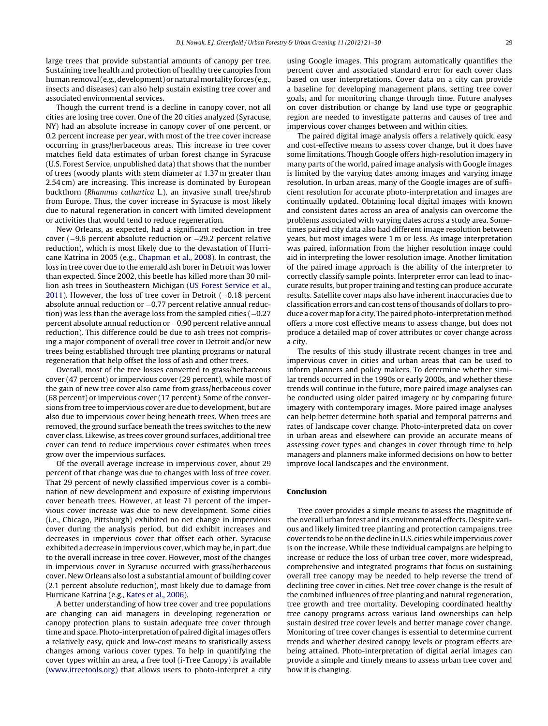large trees that provide substantial amounts of canopy per tree. Sustaining tree health and protection of healthy tree canopies from human removal (e.g., development) or natural mortality forces (e.g., insects and diseases) can also help sustain existing tree cover and associated environmental services.

Though the current trend is a decline in canopy cover, not all cities are losing tree cover. One of the 20 cities analyzed (Syracuse, NY) had an absolute increase in canopy cover of one percent, or 0.2 percent increase per year, with most of the tree cover increase occurring in grass/herbaceous areas. This increase in tree cover matches field data estimates of urban forest change in Syracuse (U.S. Forest Service, unpublished data) that shows that the number of trees (woody plants with stem diameter at 1.37 m greater than 2.54 cm) are increasing. This increase is dominated by European buckthorn (Rhamnus cathartica L.), an invasive small tree/shrub from Europe. Thus, the cover increase in Syracuse is most likely due to natural regeneration in concert with limited development or activities that would tend to reduce regeneration.

New Orleans, as expected, had a significant reduction in tree cover (−9.6 percent absolute reduction or −29.2 percent relative reduction), which is most likely due to the devastation of Hurricane Katrina in 2005 (e.g., [Chapman](#page-9-0) et [al.,](#page-9-0) [2008\).](#page-9-0) In contrast, the loss in tree cover due to the emerald ash borer in Detroit was lower than expected. Since 2002, this beetle has killed more than 30 million ash trees in Southeastern Michigan [\(US](#page-9-0) [Forest](#page-9-0) [Service](#page-9-0) et [al.,](#page-9-0) [2011\).](#page-9-0) However, the loss of tree cover in Detroit (−0.18 percent absolute annual reduction or −0.77 percent relative annual reduction) was less than the average loss from the sampled cities (−0.27 percent absolute annual reduction or −0.90 percent relative annual reduction). This difference could be due to ash trees not comprising a major component of overall tree cover in Detroit and/or new trees being established through tree planting programs or natural regeneration that help offset the loss of ash and other trees.

Overall, most of the tree losses converted to grass/herbaceous cover (47 percent) or impervious cover (29 percent), while most of the gain of new tree cover also came from grass/herbaceous cover (68 percent) or impervious cover (17 percent). Some of the conversions from tree to impervious cover are due to development, but are also due to impervious cover being beneath trees. When trees are removed, the ground surface beneath the trees switches to the new cover class. Likewise, as trees cover ground surfaces, additional tree cover can tend to reduce impervious cover estimates when trees grow over the impervious surfaces.

Of the overall average increase in impervious cover, about 29 percent of that change was due to changes with loss of tree cover. That 29 percent of newly classified impervious cover is a combination of new development and exposure of existing impervious cover beneath trees. However, at least 71 percent of the impervious cover increase was due to new development. Some cities (i.e., Chicago, Pittsburgh) exhibited no net change in impervious cover during the analysis period, but did exhibit increases and decreases in impervious cover that offset each other. Syracuse exhibited a decrease in impervious cover, which may be, in part, due to the overall increase in tree cover. However, most of the changes in impervious cover in Syracuse occurred with grass/herbaceous cover. New Orleans also lost a substantial amount of building cover (2.1 percent absolute reduction), most likely due to damage from Hurricane Katrina (e.g., [Kates](#page-9-0) et [al.,](#page-9-0) [2006\).](#page-9-0)

A better understanding of how tree cover and tree populations are changing can aid managers in developing regeneration or canopy protection plans to sustain adequate tree cover through time and space. Photo-interpretation of paired digital images offers a relatively easy, quick and low-cost means to statistically assess changes among various cover types. To help in quantifying the cover types within an area, a free tool (i-Tree Canopy) is available ([www.itreetools.org\)](http://www.itreetools.org/) that allows users to photo-interpret a city using Google images. This program automatically quantifies the percent cover and associated standard error for each cover class based on user interpretations. Cover data on a city can provide a baseline for developing management plans, setting tree cover goals, and for monitoring change through time. Future analyses on cover distribution or change by land use type or geographic region are needed to investigate patterns and causes of tree and impervious cover changes between and within cities.

The paired digital image analysis offers a relatively quick, easy and cost-effective means to assess cover change, but it does have some limitations. Though Google offers high-resolution imagery in many parts of the world, paired image analysis with Google images is limited by the varying dates among images and varying image resolution. In urban areas, many of the Google images are of sufficient resolution for accurate photo-interpretation and images are continually updated. Obtaining local digital images with known and consistent dates across an area of analysis can overcome the problems associated with varying dates across a study area. Sometimes paired city data also had different image resolution between years, but most images were 1 m or less. As image interpretation was paired, information from the higher resolution image could aid in interpreting the lower resolution image. Another limitation of the paired image approach is the ability of the interpreter to correctly classify sample points. Interpreter error can lead to inaccurate results, but proper training and testing can produce accurate results. Satellite cover maps also have inherent inaccuracies due to classification errors and can cost tens of thousands of dollars to produce a cover map for a city. The paired photo-interpretation method offers a more cost effective means to assess change, but does not produce a detailed map of cover attributes or cover change across a city.

The results of this study illustrate recent changes in tree and impervious cover in cities and urban areas that can be used to inform planners and policy makers. To determine whether similar trends occurred in the 1990s or early 2000s, and whether these trends will continue in the future, more paired image analyses can be conducted using older paired imagery or by comparing future imagery with contemporary images. More paired image analyses can help better determine both spatial and temporal patterns and rates of landscape cover change. Photo-interpreted data on cover in urban areas and elsewhere can provide an accurate means of assessing cover types and changes in cover through time to help managers and planners make informed decisions on how to better improve local landscapes and the environment.

# **Conclusion**

Tree cover provides a simple means to assess the magnitude of the overall urban forest and its environmental effects. Despite various and likely limited tree planting and protection campaigns, tree cover tends to be on the decline in U.S. cities while impervious cover is on the increase. While these individual campaigns are helping to increase or reduce the loss of urban tree cover, more widespread, comprehensive and integrated programs that focus on sustaining overall tree canopy may be needed to help reverse the trend of declining tree cover in cities. Net tree cover change is the result of the combined influences of tree planting and natural regeneration, tree growth and tree mortality. Developing coordinated healthy tree canopy programs across various land ownerships can help sustain desired tree cover levels and better manage cover change. Monitoring of tree cover changes is essential to determine current trends and whether desired canopy levels or program effects are being attained. Photo-interpretation of digital aerial images can provide a simple and timely means to assess urban tree cover and how it is changing.